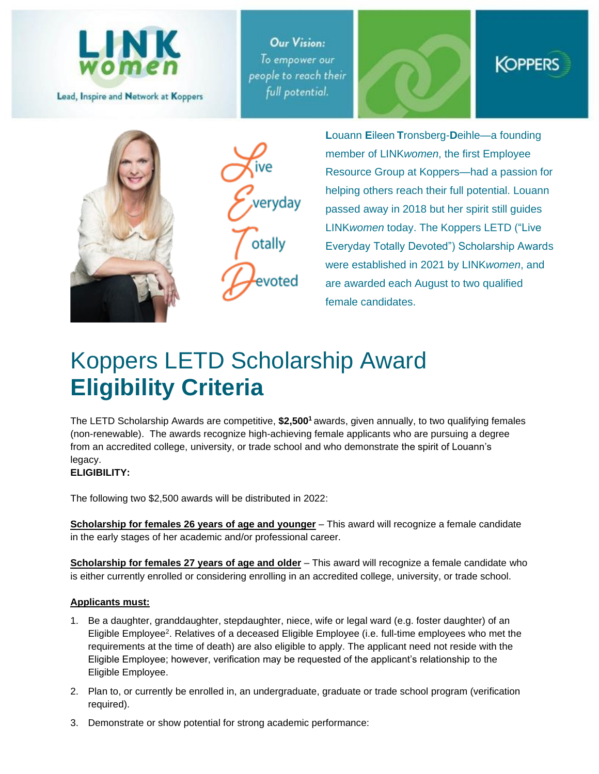

Lead, Inspire and Network at Koppers

**Our Vision:** To empower our people to reach their full potential.







**L**ouann **E**ileen **T**ronsberg-**D**eihle—a founding member of LINK*women*, the first Employee Resource Group at Koppers—had a passion for helping others reach their full potential. Louann passed away in 2018 but her spirit still guides LINK*women* today. The Koppers LETD ("Live Everyday Totally Devoted") Scholarship Awards were established in 2021 by LINK*women*, and are awarded each August to two qualified female candidates.

# Koppers LETD Scholarship Award **Eligibility Criteria**

The LETD Scholarship Awards are competitive, **\$2,500<sup>1</sup>** awards, given annually, to two qualifying females (non-renewable). The awards recognize high-achieving female applicants who are pursuing a degree from an accredited college, university, or trade school and who demonstrate the spirit of Louann's legacy.

## **ELIGIBILITY:**

The following two \$2,500 awards will be distributed in 2022:

**Scholarship for females 26 years of age and younger** – This award will recognize a female candidate in the early stages of her academic and/or professional career.

**Scholarship for females 27 years of age and older** – This award will recognize a female candidate who is either currently enrolled or considering enrolling in an accredited college, university, or trade school.

#### **Applicants must:**

- 1. Be a daughter, granddaughter, stepdaughter, niece, wife or legal ward (e.g. foster daughter) of an Eligible Employee<sup>2</sup>. Relatives of a deceased Eligible Employee (i.e. full-time employees who met the requirements at the time of death) are also eligible to apply. The applicant need not reside with the Eligible Employee; however, verification may be requested of the applicant's relationship to the Eligible Employee.
- 2. Plan to, or currently be enrolled in, an undergraduate, graduate or trade school program (verification required).
- 3. Demonstrate or show potential for strong academic performance: